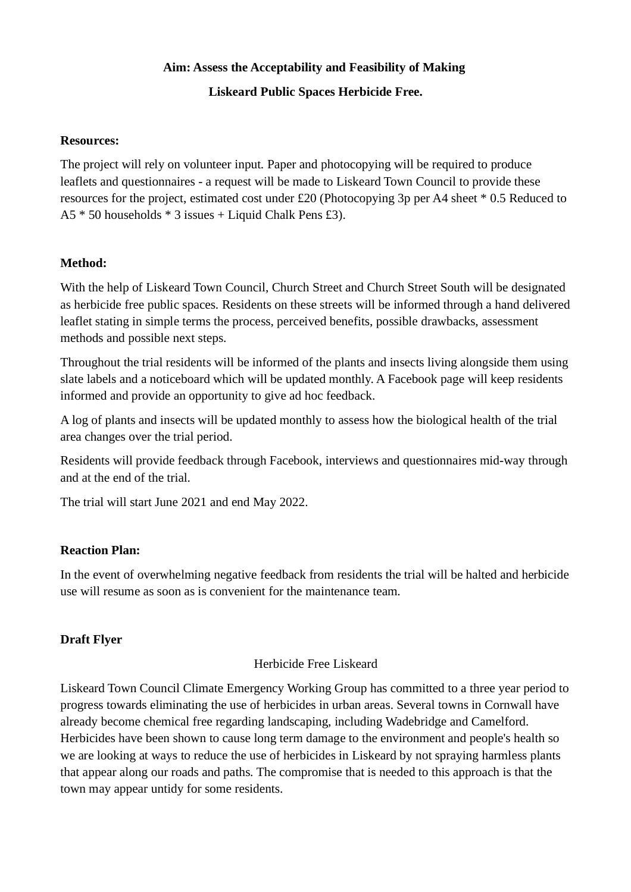# **Aim: Assess the Acceptability and Feasibility of Making Liskeard Public Spaces Herbicide Free.**

#### **Resources:**

The project will rely on volunteer input. Paper and photocopying will be required to produce leaflets and questionnaires - a request will be made to Liskeard Town Council to provide these resources for the project, estimated cost under £20 (Photocopying 3p per A4 sheet \* 0.5 Reduced to A5 \* 50 households \* 3 issues + Liquid Chalk Pens £3).

### **Method:**

With the help of Liskeard Town Council, Church Street and Church Street South will be designated as herbicide free public spaces. Residents on these streets will be informed through a hand delivered leaflet stating in simple terms the process, perceived benefits, possible drawbacks, assessment methods and possible next steps.

Throughout the trial residents will be informed of the plants and insects living alongside them using slate labels and a noticeboard which will be updated monthly. A Facebook page will keep residents informed and provide an opportunity to give ad hoc feedback.

A log of plants and insects will be updated monthly to assess how the biological health of the trial area changes over the trial period.

Residents will provide feedback through Facebook, interviews and questionnaires mid-way through and at the end of the trial.

The trial will start June 2021 and end May 2022.

### **Reaction Plan:**

In the event of overwhelming negative feedback from residents the trial will be halted and herbicide use will resume as soon as is convenient for the maintenance team.

## **Draft Flyer**

### Herbicide Free Liskeard

Liskeard Town Council Climate Emergency Working Group has committed to a three year period to progress towards eliminating the use of herbicides in urban areas. Several towns in Cornwall have already become chemical free regarding landscaping, including Wadebridge and Camelford. Herbicides have been shown to cause long term damage to the environment and people's health so we are looking at ways to reduce the use of herbicides in Liskeard by not spraying harmless plants that appear along our roads and paths. The compromise that is needed to this approach is that the town may appear untidy for some residents.